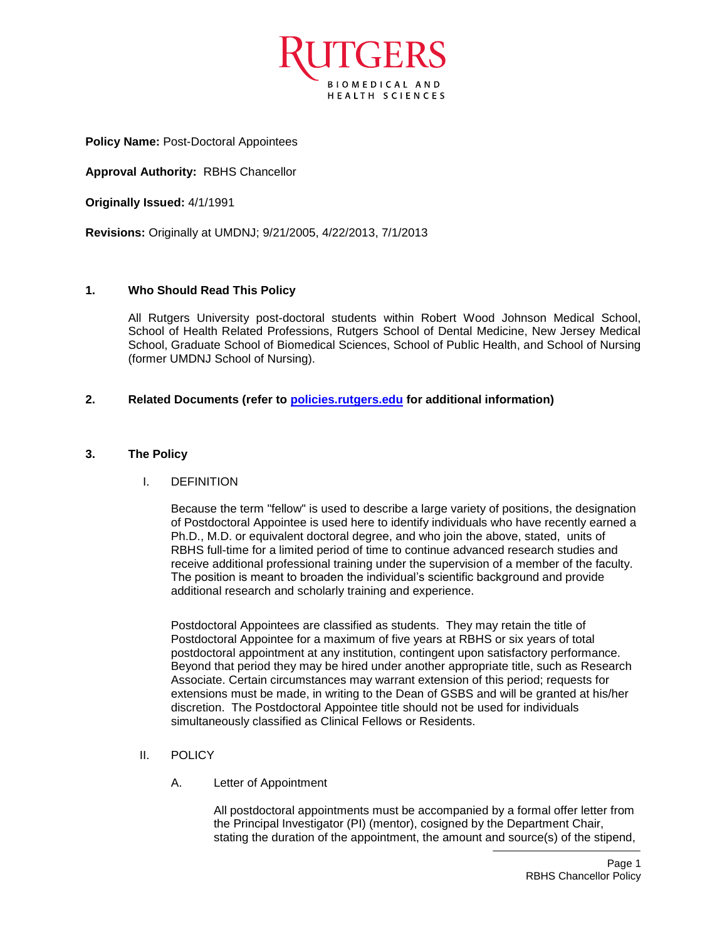

**Policy Name:** Post-Doctoral Appointees

**Approval Authority:** RBHS Chancellor

**Originally Issued:** 4/1/1991

**Revisions:** Originally at UMDNJ; 9/21/2005, 4/22/2013, 7/1/2013

## **1. Who Should Read This Policy**

All Rutgers University post-doctoral students within Robert Wood Johnson Medical School, School of Health Related Professions, Rutgers School of Dental Medicine, New Jersey Medical School, Graduate School of Biomedical Sciences, School of Public Health, and School of Nursing (former UMDNJ School of Nursing).

## **2. Related Documents (refer to [policies.rutgers.edu](file:///C:/Users/rsedlackpr001/Documents/Rutgers/Policies/RBHS%20Policies/policies.rutgers.edu) for additional information)**

## **3. The Policy**

#### I. DEFINITION

Because the term "fellow" is used to describe a large variety of positions, the designation of Postdoctoral Appointee is used here to identify individuals who have recently earned a Ph.D., M.D. or equivalent doctoral degree, and who join the above, stated, units of RBHS full-time for a limited period of time to continue advanced research studies and receive additional professional training under the supervision of a member of the faculty. The position is meant to broaden the individual's scientific background and provide additional research and scholarly training and experience.

Postdoctoral Appointees are classified as students. They may retain the title of Postdoctoral Appointee for a maximum of five years at RBHS or six years of total postdoctoral appointment at any institution, contingent upon satisfactory performance. Beyond that period they may be hired under another appropriate title, such as Research Associate. Certain circumstances may warrant extension of this period; requests for extensions must be made, in writing to the Dean of GSBS and will be granted at his/her discretion. The Postdoctoral Appointee title should not be used for individuals simultaneously classified as Clinical Fellows or Residents.

- II. POLICY
	- A. Letter of Appointment

All postdoctoral appointments must be accompanied by a formal offer letter from the Principal Investigator (PI) (mentor), cosigned by the Department Chair, stating the duration of the appointment, the amount and source(s) of the stipend,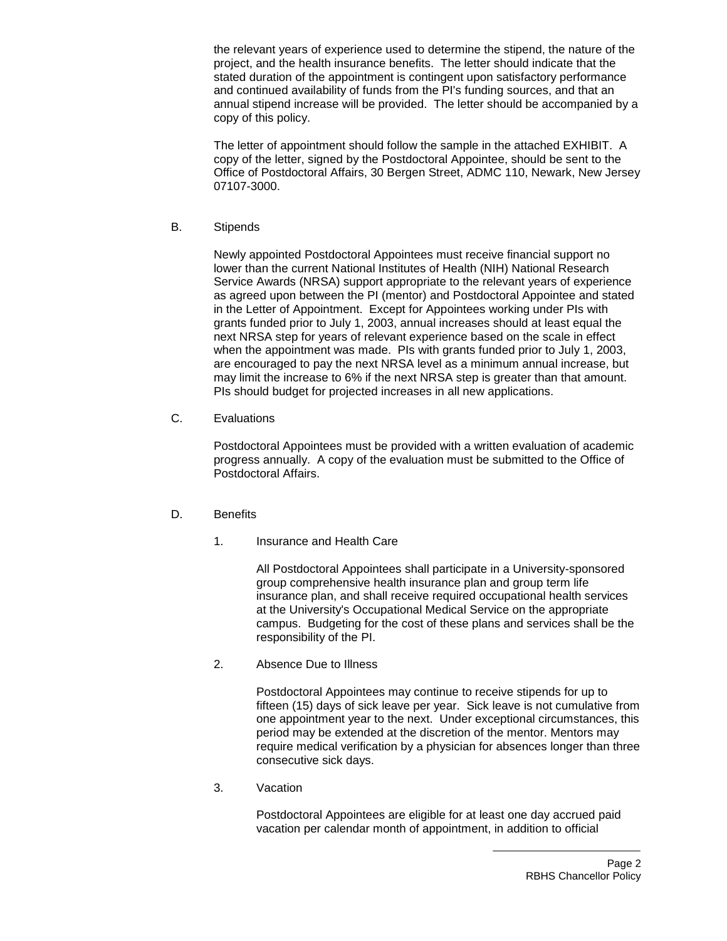the relevant years of experience used to determine the stipend, the nature of the project, and the health insurance benefits. The letter should indicate that the stated duration of the appointment is contingent upon satisfactory performance and continued availability of funds from the PI's funding sources, and that an annual stipend increase will be provided. The letter should be accompanied by a copy of this policy.

The letter of appointment should follow the sample in the attached EXHIBIT. A copy of the letter, signed by the Postdoctoral Appointee, should be sent to the Office of Postdoctoral Affairs, 30 Bergen Street, ADMC 110, Newark, New Jersey 07107-3000.

B. Stipends

Newly appointed Postdoctoral Appointees must receive financial support no lower than the current National Institutes of Health (NIH) National Research Service Awards (NRSA) support appropriate to the relevant years of experience as agreed upon between the PI (mentor) and Postdoctoral Appointee and stated in the Letter of Appointment. Except for Appointees working under PIs with grants funded prior to July 1, 2003, annual increases should at least equal the next NRSA step for years of relevant experience based on the scale in effect when the appointment was made. PIs with grants funded prior to July 1, 2003, are encouraged to pay the next NRSA level as a minimum annual increase, but may limit the increase to 6% if the next NRSA step is greater than that amount. PIs should budget for projected increases in all new applications.

C. Evaluations

Postdoctoral Appointees must be provided with a written evaluation of academic progress annually. A copy of the evaluation must be submitted to the Office of Postdoctoral Affairs.

#### D. Benefits

1. Insurance and Health Care

All Postdoctoral Appointees shall participate in a University-sponsored group comprehensive health insurance plan and group term life insurance plan, and shall receive required occupational health services at the University's Occupational Medical Service on the appropriate campus. Budgeting for the cost of these plans and services shall be the responsibility of the PI.

2. Absence Due to Illness

Postdoctoral Appointees may continue to receive stipends for up to fifteen (15) days of sick leave per year. Sick leave is not cumulative from one appointment year to the next. Under exceptional circumstances, this period may be extended at the discretion of the mentor. Mentors may require medical verification by a physician for absences longer than three consecutive sick days.

3. Vacation

Postdoctoral Appointees are eligible for at least one day accrued paid vacation per calendar month of appointment, in addition to official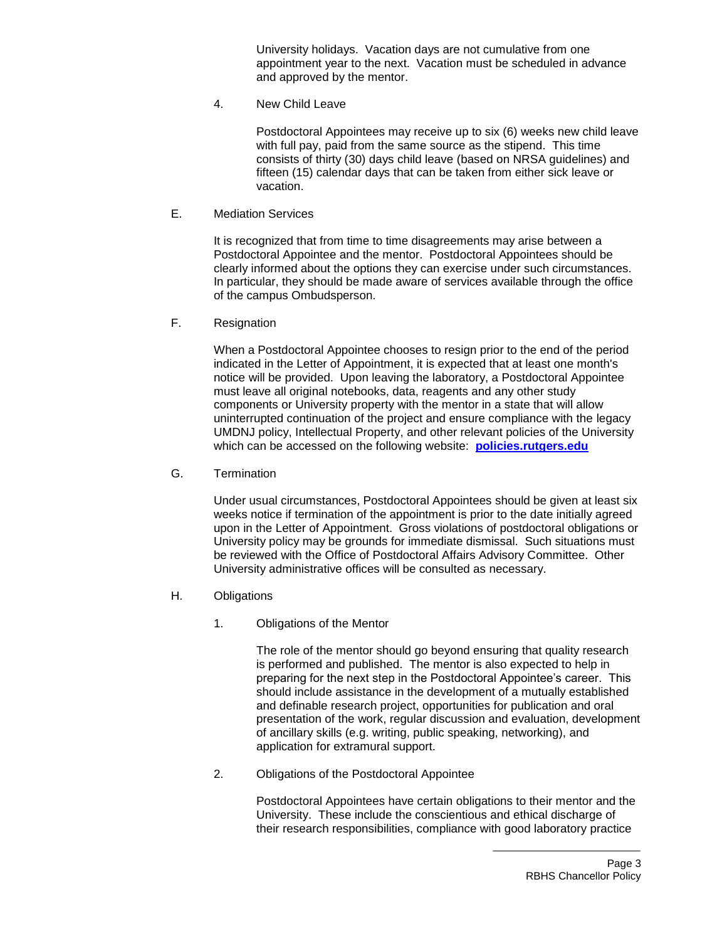University holidays. Vacation days are not cumulative from one appointment year to the next. Vacation must be scheduled in advance and approved by the mentor.

4. New Child Leave

Postdoctoral Appointees may receive up to six (6) weeks new child leave with full pay, paid from the same source as the stipend. This time consists of thirty (30) days child leave (based on NRSA guidelines) and fifteen (15) calendar days that can be taken from either sick leave or vacation.

E. Mediation Services

It is recognized that from time to time disagreements may arise between a Postdoctoral Appointee and the mentor. Postdoctoral Appointees should be clearly informed about the options they can exercise under such circumstances. In particular, they should be made aware of services available through the office of the campus Ombudsperson.

F. Resignation

When a Postdoctoral Appointee chooses to resign prior to the end of the period indicated in the Letter of Appointment, it is expected that at least one month's notice will be provided. Upon leaving the laboratory, a Postdoctoral Appointee must leave all original notebooks, data, reagents and any other study components or University property with the mentor in a state that will allow uninterrupted continuation of the project and ensure compliance with the legacy UMDNJ policy, Intellectual Property, and other relevant policies of the University which can be accessed on the following website: **[policies.rutgers.edu](file:///C:/Users/rsedlackpr001/Documents/Rutgers/Policies/RBHS%20Policies/policies.rutgers.edu)**

G. Termination

Under usual circumstances, Postdoctoral Appointees should be given at least six weeks notice if termination of the appointment is prior to the date initially agreed upon in the Letter of Appointment. Gross violations of postdoctoral obligations or University policy may be grounds for immediate dismissal. Such situations must be reviewed with the Office of Postdoctoral Affairs Advisory Committee. Other University administrative offices will be consulted as necessary.

- H. Obligations
	- 1. Obligations of the Mentor

The role of the mentor should go beyond ensuring that quality research is performed and published. The mentor is also expected to help in preparing for the next step in the Postdoctoral Appointee's career. This should include assistance in the development of a mutually established and definable research project, opportunities for publication and oral presentation of the work, regular discussion and evaluation, development of ancillary skills (e.g. writing, public speaking, networking), and application for extramural support.

2. Obligations of the Postdoctoral Appointee

Postdoctoral Appointees have certain obligations to their mentor and the University. These include the conscientious and ethical discharge of their research responsibilities, compliance with good laboratory practice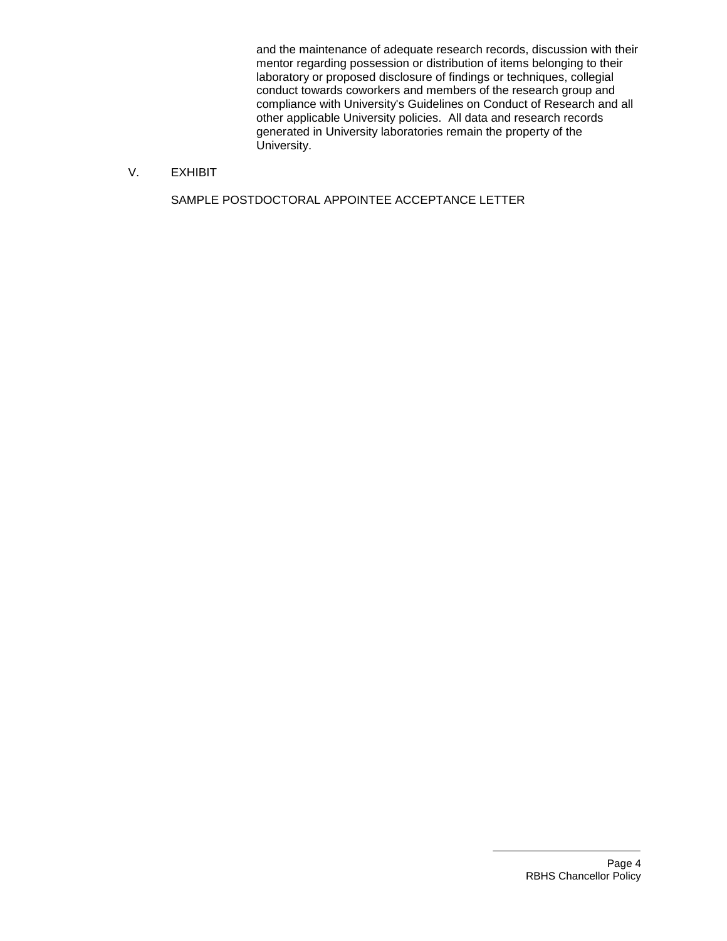and the maintenance of adequate research records, discussion with their mentor regarding possession or distribution of items belonging to their laboratory or proposed disclosure of findings or techniques, collegial conduct towards coworkers and members of the research group and compliance with University's Guidelines on Conduct of Research and all other applicable University policies. All data and research records generated in University laboratories remain the property of the University.

## V. EXHIBIT

SAMPLE POSTDOCTORAL APPOINTEE ACCEPTANCE LETTER